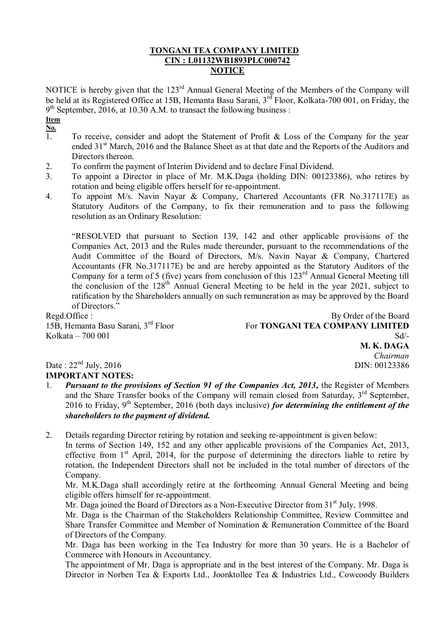## **TONGANI TEA COMPANY LIMITED CIN : L01132WB1893PLC000742 NOTICE**

NOTICE is hereby given that the 123<sup>rd</sup> Annual General Meeting of the Members of the Company will be held at its Registered Office at 15B, Hemanta Basu Sarani, 3<sup>rd</sup> Floor, Kolkata-700 001, on Friday, the 9<sup>th</sup> September, 2016, at 10.30 A.M. to transact the following business :

**Item** 

- $\frac{\mathbf{N}\mathbf{0.}}{1}$ To receive, consider and adopt the Statement of Profit  $\&$  Loss of the Company for the year ended 31<sup>st</sup> March, 2016 and the Balance Sheet as at that date and the Reports of the Auditors and Directors thereon.
- 2. To confirm the payment of Interim Dividend and to declare Final Dividend.
- 3. To appoint a Director in place of Mr. M.K.Daga (holding DIN: 00123386), who retires by rotation and being eligible offers herself for re-appointment.
- 4. To appoint M/s. Navin Nayar & Company, Chartered Accountants (FR No.317117E) as Statutory Auditors of the Company, to fix their remuneration and to pass the following resolution as an Ordinary Resolution:

"RESOLVED that pursuant to Section 139, 142 and other applicable provisions of the Companies Act, 2013 and the Rules made thereunder, pursuant to the recommendations of the Audit Committee of the Board of Directors, M/s. Navin Nayar & Company, Chartered Accountants (FR No.317117E) be and are hereby appointed as the Statutory Auditors of the Company for a term of 5 (five) years from conclusion of this 123<sup>rd</sup> Annual General Meeting till the conclusion of the  $128<sup>th</sup>$  Annual General Meeting to be held in the year 2021, subject to ratification by the Shareholders annually on such remuneration as may be approved by the Board of Directors."

15B, Hemanta Basu Sarani, 3rd Floor Kolkata – 700 001

Regd.Office : By Order of the Board For **TONGANI TEA COMPANY LIMITED**  $Sd$ <sup>-</sup> **M. K. DAGA** *Chairman* DIN: 00123386

Date:  $22<sup>nd</sup>$  July, 2016 **IMPORTANT NOTES:**

1. *Pursuant to the provisions of Section 91 of the Companies Act, 2013,* the Register of Members and the Share Transfer books of the Company will remain closed from Saturday,  $3<sup>rd</sup>$  September, 2016 to Friday, 9<sup>th</sup> September, 2016 (both days inclusive) *for determining the entitlement of the shareholders to the payment of dividend.*

2. Details regarding Director retiring by rotation and seeking re-appointment is given below: In terms of Section 149, 152 and any other applicable provisions of the Companies Act, 2013, effective from  $1<sup>st</sup>$  April, 2014, for the purpose of determining the directors liable to retire by rotation, the Independent Directors shall not be included in the total number of directors of the Company.

Mr. M.K.Daga shall accordingly retire at the forthcoming Annual General Meeting and being eligible offers himself for re-appointment.

Mr. Daga joined the Board of Directors as a Non-Executive Director from 31<sup>st</sup> July, 1998.

Mr. Daga is the Chairman of the Stakeholders Relationship Committee, Review Committee and Share Transfer Committee and Member of Nomination & Remuneration Committee of the Board of Directors of the Company.

Mr. Daga has been working in the Tea Industry for more than 30 years. He is a Bachelor of Commerce with Honours in Accountancy.

The appointment of Mr. Daga is appropriate and in the best interest of the Company. Mr. Daga is Director in Norben Tea & Exports Ltd., Joonktollee Tea & Industries Ltd., Cowcoody Builders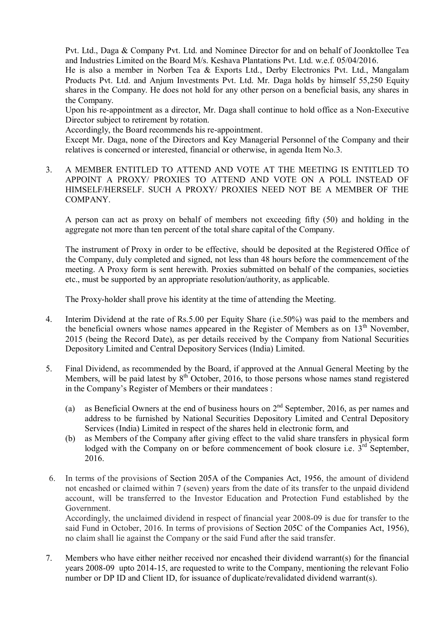Pvt. Ltd., Daga & Company Pvt. Ltd. and Nominee Director for and on behalf of Joonktollee Tea and Industries Limited on the Board M/s. Keshava Plantations Pvt. Ltd. w.e.f. 05/04/2016.

He is also a member in Norben Tea & Exports Ltd., Derby Electronics Pvt. Ltd., Mangalam Products Pvt. Ltd. and Anjum Investments Pvt. Ltd. Mr. Daga holds by himself 55,250 Equity shares in the Company. He does not hold for any other person on a beneficial basis, any shares in the Company.

Upon his re-appointment as a director, Mr. Daga shall continue to hold office as a Non-Executive Director subject to retirement by rotation.

Accordingly, the Board recommends his re-appointment.

Except Mr. Daga, none of the Directors and Key Managerial Personnel of the Company and their relatives is concerned or interested, financial or otherwise, in agenda Item No.3.

3. A MEMBER ENTITLED TO ATTEND AND VOTE AT THE MEETING IS ENTITLED TO APPOINT A PROXY/ PROXIES TO ATTEND AND VOTE ON A POLL INSTEAD OF HIMSELF/HERSELF. SUCH A PROXY/ PROXIES NEED NOT BE A MEMBER OF THE COMPANY.

A person can act as proxy on behalf of members not exceeding fifty (50) and holding in the aggregate not more than ten percent of the total share capital of the Company.

The instrument of Proxy in order to be effective, should be deposited at the Registered Office of the Company, duly completed and signed, not less than 48 hours before the commencement of the meeting. A Proxy form is sent herewith. Proxies submitted on behalf of the companies, societies etc., must be supported by an appropriate resolution/authority, as applicable.

The Proxy-holder shall prove his identity at the time of attending the Meeting.

- 4. Interim Dividend at the rate of Rs.5.00 per Equity Share (i.e.50%) was paid to the members and the beneficial owners whose names appeared in the Register of Members as on  $13<sup>th</sup>$  November, 2015 (being the Record Date), as per details received by the Company from National Securities Depository Limited and Central Depository Services (India) Limited.
- 5. Final Dividend, as recommended by the Board, if approved at the Annual General Meeting by the Members, will be paid latest by  $8<sup>th</sup>$  October, 2016, to those persons whose names stand registered in the Company"s Register of Members or their mandatees :
	- (a) as Beneficial Owners at the end of business hours on  $2<sup>nd</sup>$  September, 2016, as per names and address to be furnished by National Securities Depository Limited and Central Depository Services (India) Limited in respect of the shares held in electronic form, and
	- (b) as Members of the Company after giving effect to the valid share transfers in physical form lodged with the Company on or before commencement of book closure i.e.  $3^{rd}$  September, 2016.
- 6. In terms of the provisions of Section 205A of the Companies Act, 1956, the amount of dividend not encashed or claimed within 7 (seven) years from the date of its transfer to the unpaid dividend account, will be transferred to the Investor Education and Protection Fund established by the Government.

Accordingly, the unclaimed dividend in respect of financial year 2008-09 is due for transfer to the said Fund in October, 2016. In terms of provisions of Section 205C of the Companies Act, 1956), no claim shall lie against the Company or the said Fund after the said transfer.

7. Members who have either neither received nor encashed their dividend warrant(s) for the financial years 2008-09 upto 2014-15, are requested to write to the Company, mentioning the relevant Folio number or DP ID and Client ID, for issuance of duplicate/revalidated dividend warrant(s).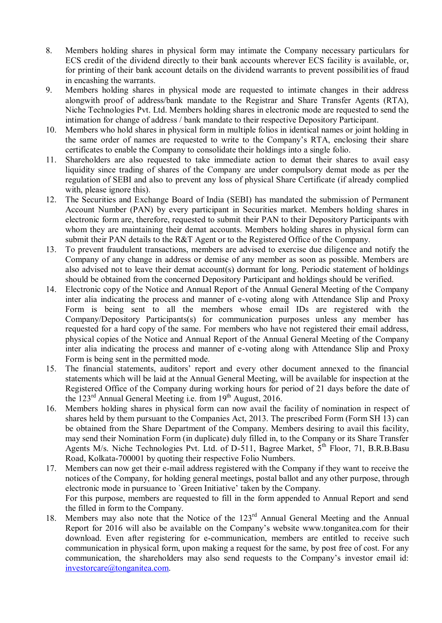- 8. Members holding shares in physical form may intimate the Company necessary particulars for ECS credit of the dividend directly to their bank accounts wherever ECS facility is available, or, for printing of their bank account details on the dividend warrants to prevent possibilities of fraud in encashing the warrants.
- 9. Members holding shares in physical mode are requested to intimate changes in their address alongwith proof of address/bank mandate to the Registrar and Share Transfer Agents (RTA), Niche Technologies Pvt. Ltd. Members holding shares in electronic mode are requested to send the intimation for change of address / bank mandate to their respective Depository Participant.
- 10. Members who hold shares in physical form in multiple folios in identical names or joint holding in the same order of names are requested to write to the Company"s RTA, enclosing their share certificates to enable the Company to consolidate their holdings into a single folio.
- 11. Shareholders are also requested to take immediate action to demat their shares to avail easy liquidity since trading of shares of the Company are under compulsory demat mode as per the regulation of SEBI and also to prevent any loss of physical Share Certificate (if already complied with, please ignore this).
- 12. The Securities and Exchange Board of India (SEBI) has mandated the submission of Permanent Account Number (PAN) by every participant in Securities market. Members holding shares in electronic form are, therefore, requested to submit their PAN to their Depository Participants with whom they are maintaining their demat accounts. Members holding shares in physical form can submit their PAN details to the R&T Agent or to the Registered Office of the Company.
- 13. To prevent fraudulent transactions, members are advised to exercise due diligence and notify the Company of any change in address or demise of any member as soon as possible. Members are also advised not to leave their demat account(s) dormant for long. Periodic statement of holdings should be obtained from the concerned Depository Participant and holdings should be verified.
- 14. Electronic copy of the Notice and Annual Report of the Annual General Meeting of the Company inter alia indicating the process and manner of e-voting along with Attendance Slip and Proxy Form is being sent to all the members whose email IDs are registered with the Company/Depository Participants(s) for communication purposes unless any member has requested for a hard copy of the same. For members who have not registered their email address, physical copies of the Notice and Annual Report of the Annual General Meeting of the Company inter alia indicating the process and manner of e-voting along with Attendance Slip and Proxy Form is being sent in the permitted mode.
- 15. The financial statements, auditors" report and every other document annexed to the financial statements which will be laid at the Annual General Meeting, will be available for inspection at the Registered Office of the Company during working hours for period of 21 days before the date of the 123<sup>rd</sup> Annual General Meeting i.e. from 19<sup>th</sup> August, 2016.
- 16. Members holding shares in physical form can now avail the facility of nomination in respect of shares held by them pursuant to the Companies Act, 2013. The prescribed Form (Form SH 13) can be obtained from the Share Department of the Company. Members desiring to avail this facility, may send their Nomination Form (in duplicate) duly filled in, to the Company or its Share Transfer Agents M/s. Niche Technologies Pvt. Ltd. of D-511, Bagree Market, 5<sup>th</sup> Floor, 71, B.R.B.Basu Road, Kolkata-700001 by quoting their respective Folio Numbers.
- 17. Members can now get their e-mail address registered with the Company if they want to receive the notices of the Company, for holding general meetings, postal ballot and any other purpose, through electronic mode in pursuance to `Green Initiative" taken by the Company. For this purpose, members are requested to fill in the form appended to Annual Report and send the filled in form to the Company.
- 18. Members may also note that the Notice of the 123<sup>rd</sup> Annual General Meeting and the Annual Report for 2016 will also be available on the Company"s website www.tonganitea.com for their download. Even after registering for e-communication, members are entitled to receive such communication in physical form, upon making a request for the same, by post free of cost. For any communication, the shareholders may also send requests to the Company"s investor email id: [investorcare@tonganitea.com.](mailto:investorcare@tonganitea.com)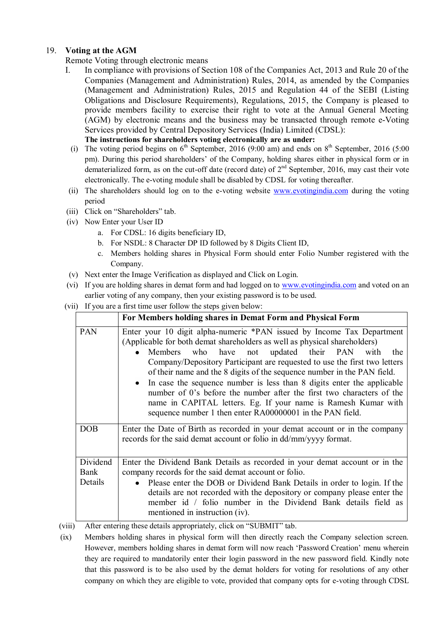## 19. **Voting at the AGM**

- Remote Voting through electronic means
- I. In compliance with provisions of Section 108 of the Companies Act, 2013 and Rule 20 of the Companies (Management and Administration) Rules, 2014, as amended by the Companies (Management and Administration) Rules, 2015 and Regulation 44 of the SEBI (Listing Obligations and Disclosure Requirements), Regulations, 2015, the Company is pleased to provide members facility to exercise their right to vote at the Annual General Meeting (AGM) by electronic means and the business may be transacted through remote e-Voting Services provided by Central Depository Services (India) Limited (CDSL): **The instructions for shareholders voting electronically are as under:**
	- (i) The voting period begins on  $6<sup>th</sup>$  September, 2016 (9:00 am) and ends on  $8<sup>th</sup>$  September, 2016 (5:00 pm). During this period shareholders' of the Company, holding shares either in physical form or in dematerialized form, as on the cut-off date (record date) of  $2<sup>nd</sup>$  September, 2016, may cast their vote electronically. The e-voting module shall be disabled by CDSL for voting thereafter.
- (ii) The shareholders should log on to the e-voting website [www.evotingindia.com](http://www.evotingindia.com/) during the voting period
- (iii) Click on "Shareholders" tab.
- (iv) Now Enter your User ID
	- a. For CDSL: 16 digits beneficiary ID,
	- b. For NSDL: 8 Character DP ID followed by 8 Digits Client ID,
	- c. Members holding shares in Physical Form should enter Folio Number registered with the Company.
- (v) Next enter the Image Verification as displayed and Click on Login.
- (vi) If you are holding shares in demat form and had logged on to [www.evotingindia.com](http://www.evotingindia.com/) and voted on an earlier voting of any company, then your existing password is to be used.
- (vii) If you are a first time user follow the steps given below:

|                             | For Members holding shares in Demat Form and Physical Form                                                                                                                                                                                                                                                                                                                                                                                                                                                                                                                                                                                                       |
|-----------------------------|------------------------------------------------------------------------------------------------------------------------------------------------------------------------------------------------------------------------------------------------------------------------------------------------------------------------------------------------------------------------------------------------------------------------------------------------------------------------------------------------------------------------------------------------------------------------------------------------------------------------------------------------------------------|
| PAN                         | Enter your 10 digit alpha-numeric *PAN issued by Income Tax Department<br>(Applicable for both demat shareholders as well as physical shareholders)<br>Members who have not updated their PAN with<br>the<br>$\bullet$<br>Company/Depository Participant are requested to use the first two letters<br>of their name and the 8 digits of the sequence number in the PAN field.<br>In case the sequence number is less than 8 digits enter the applicable<br>number of 0's before the number after the first two characters of the<br>name in CAPITAL letters. Eg. If your name is Ramesh Kumar with<br>sequence number 1 then enter RA00000001 in the PAN field. |
| DOB                         | Enter the Date of Birth as recorded in your demat account or in the company<br>records for the said demat account or folio in dd/mm/yyyy format.                                                                                                                                                                                                                                                                                                                                                                                                                                                                                                                 |
| Dividend<br>Bank<br>Details | Enter the Dividend Bank Details as recorded in your demat account or in the<br>company records for the said demat account or folio.<br>Please enter the DOB or Dividend Bank Details in order to login. If the<br>details are not recorded with the depository or company please enter the<br>member id / folio number in the Dividend Bank details field as<br>mentioned in instruction (iv).                                                                                                                                                                                                                                                                   |

(viii) After entering these details appropriately, click on "SUBMIT" tab.

(ix) Members holding shares in physical form will then directly reach the Company selection screen. However, members holding shares in demat form will now reach "Password Creation" menu wherein they are required to mandatorily enter their login password in the new password field. Kindly note that this password is to be also used by the demat holders for voting for resolutions of any other company on which they are eligible to vote, provided that company opts for e-voting through CDSL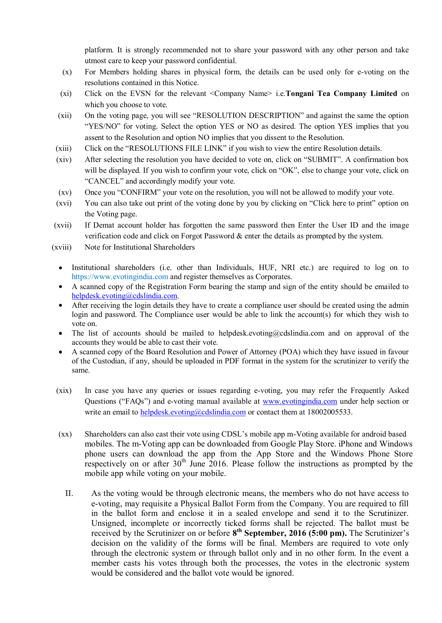platform. It is strongly recommended not to share your password with any other person and take utmost care to keep your password confidential.

- (x) For Members holding shares in physical form, the details can be used only for e-voting on the resolutions contained in this Notice.
- (xi) Click on the EVSN for the relevant <Company Name> i.e.**Tongani Tea Company Limited** on which you choose to vote.
- (xii) On the voting page, you will see "RESOLUTION DESCRIPTION" and against the same the option "YES/NO" for voting. Select the option YES or NO as desired. The option YES implies that you assent to the Resolution and option NO implies that you dissent to the Resolution.
- (xiii) Click on the "RESOLUTIONS FILE LINK" if you wish to view the entire Resolution details.
- (xiv) After selecting the resolution you have decided to vote on, click on "SUBMIT". A confirmation box will be displayed. If you wish to confirm your vote, click on "OK", else to change your vote, click on "CANCEL" and accordingly modify your vote.
- (xv) Once you "CONFIRM" your vote on the resolution, you will not be allowed to modify your vote.
- (xvi) You can also take out print of the voting done by you by clicking on "Click here to print" option on the Voting page.
- (xvii) If Demat account holder has forgotten the same password then Enter the User ID and the image verification code and click on Forgot Password & enter the details as prompted by the system.
- (xviii) Note for Institutional Shareholders
	- Institutional shareholders (i.e. other than Individuals, HUF, NRI etc.) are required to log on to https://www.evotingindia.com and register themselves as Corporates.
	- A scanned copy of the Registration Form bearing the stamp and sign of the entity should be emailed to [helpdesk.evoting@cdslindia.com.](mailto:helpdesk.evoting@cdslindia.com)
	- After receiving the login details they have to create a compliance user should be created using the admin login and password. The Compliance user would be able to link the account(s) for which they wish to vote on.
	- The list of accounts should be mailed to helpdesk.evoting@cdslindia.com and on approval of the  $\bullet$ accounts they would be able to cast their vote.
	- A scanned copy of the Board Resolution and Power of Attorney (POA) which they have issued in favour of the Custodian, if any, should be uploaded in PDF format in the system for the scrutinizer to verify the same.
- (xix) In case you have any queries or issues regarding e-voting, you may refer the Frequently Asked Questions ("FAQs") and e-voting manual available at [www.evotingindia.com](http://www.evotingindia.com/) under help section or write an email to [helpdesk.evoting@cdslindia.com](mailto:helpdesk.evoting@cdslindia.com) or contact them at 18002005533.
- (xx) Shareholders can also cast their vote using CDSL"s mobile app m-Voting available for android based mobiles. The m-Voting app can be downloaded from Google Play Store. iPhone and Windows phone users can download the app from the App Store and the Windows Phone Store respectively on or after  $30<sup>th</sup>$  June 2016. Please follow the instructions as prompted by the mobile app while voting on your mobile.
	- II. As the voting would be through electronic means, the members who do not have access to e-voting, may requisite a Physical Ballot Form from the Company. You are required to fill in the ballot form and enclose it in a sealed envelope and send it to the Scrutinizer. Unsigned, incomplete or incorrectly ticked forms shall be rejected. The ballot must be received by the Scrutinizer on or before  $8^{th}$  September, 2016 (5:00 pm). The Scrutinizer's decision on the validity of the forms will be final. Members are required to vote only through the electronic system or through ballot only and in no other form. In the event a member casts his votes through both the processes, the votes in the electronic system would be considered and the ballot vote would be ignored.